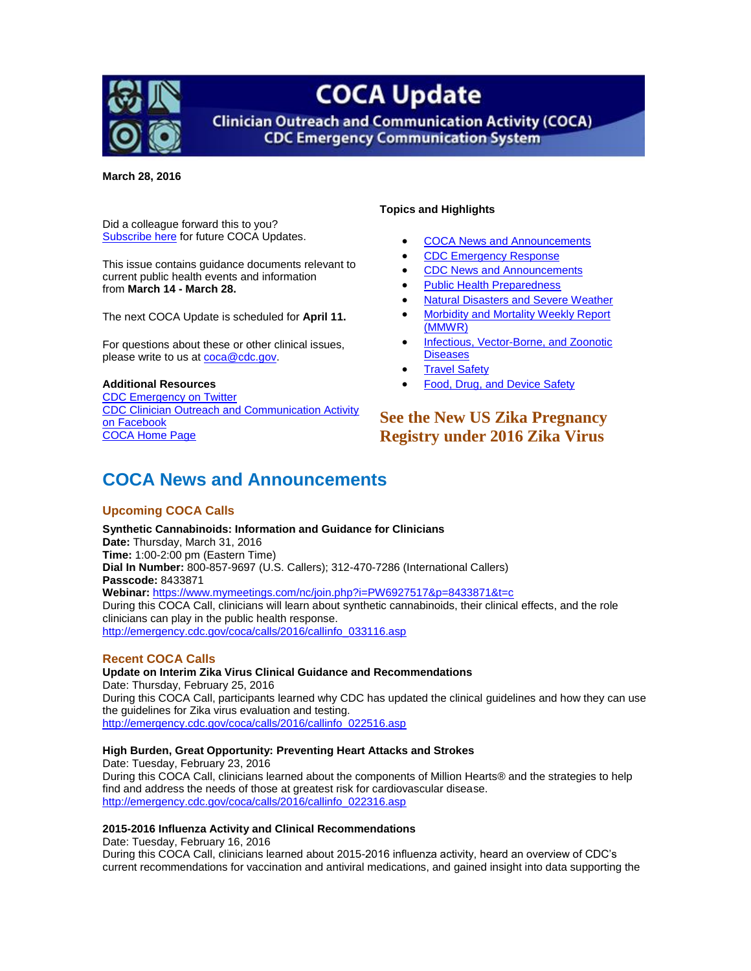

# **COCA Update**

**Clinician Outreach and Communication Activity (COCA) CDC Emergency Communication System** 

**March 28, 2016**

Did a colleague forward this to you? [Subscribe](http://emergency.cdc.gov/coca/subscribe.asp) here for future COCA Updates.

This issue contains guidance documents relevant to current public health events and information from **March 14 - March 28.**

The next COCA Update is scheduled for **April 11.**

For questions about these or other clinical issues, please write to us at [coca@cdc.gov.](mailto:coca@cdc.gov)

#### **Additional Resources**

[CDC Emergency on Twitter](http://twitter.com/cdcemergency) [CDC Clinician Outreach and Communication Activity](https://www.facebook.com/CDCClinicianOutreachAndCommunicationActivity)  [on Facebook](https://www.facebook.com/CDCClinicianOutreachAndCommunicationActivity) [COCA Home Page](http://emergency.cdc.gov/coca?s_cid=ccu092611_001)

#### **Topics and Highlights**

- [COCA News and Announcements](#page-0-0)
- [CDC Emergency Response](#page-1-0)
- [CDC News and Announcements](#page-4-0)
- [Public Health Preparedness](#page-4-1)
- [Natural Disasters and Severe Weather](#page-4-2)
- [Morbidity and Mortality Weekly Report](#page-5-0)  [\(MMWR\)](#page-5-0)
- [Infectious, Vector-Borne, and Zoonotic](#page-5-1)  **[Diseases](#page-5-1)**
- [Travel Safety](#page-5-2)
- [Food, Drug, and Device Safety](#page-6-0)

### **See the New US Zika Pregnancy Registry under 2016 Zika Virus**

## <span id="page-0-0"></span>**COCA News and Announcements**

#### **Upcoming COCA Calls**

**Synthetic Cannabinoids: Information and Guidance for Clinicians Date:** Thursday, March 31, 2016 **Time:** 1:00-2:00 pm (Eastern Time) **Dial In Number:** 800-857-9697 (U.S. Callers); 312-470-7286 (International Callers) **Passcode:** 8433871 **Webinar:** <https://www.mymeetings.com/nc/join.php?i=PW6927517&p=8433871&t=c> During this COCA Call, clinicians will learn about synthetic cannabinoids, their clinical effects, and the role clinicians can play in the public health response. [http://emergency.cdc.gov/coca/calls/2016/callinfo\\_033116.asp](http://emergency.cdc.gov/coca/calls/2016/callinfo_033116.asp)

#### **Recent COCA Calls**

**Update on Interim Zika Virus Clinical Guidance and Recommendations** Date: Thursday, February 25, 2016 During this COCA Call, participants learned why CDC has updated the clinical guidelines and how they can use the guidelines for Zika virus evaluation and testing. [http://emergency.cdc.gov/coca/calls/2016/callinfo\\_022516.asp](http://emergency.cdc.gov/coca/calls/2016/callinfo_022516.asp)

#### **High Burden, Great Opportunity: Preventing Heart Attacks and Strokes**

Date: Tuesday, February 23, 2016 During this COCA Call, clinicians learned about the components of Million Hearts® and the strategies to help find and address the needs of those at greatest risk for cardiovascular disease. [http://emergency.cdc.gov/coca/calls/2016/callinfo\\_022316.asp](http://emergency.cdc.gov/coca/calls/2016/callinfo_022316.asp)

#### **2015-2016 Influenza Activity and Clinical Recommendations**

Date: Tuesday, February 16, 2016

During this COCA Call, clinicians learned about 2015-2016 influenza activity, heard an overview of CDC's current recommendations for vaccination and antiviral medications, and gained insight into data supporting the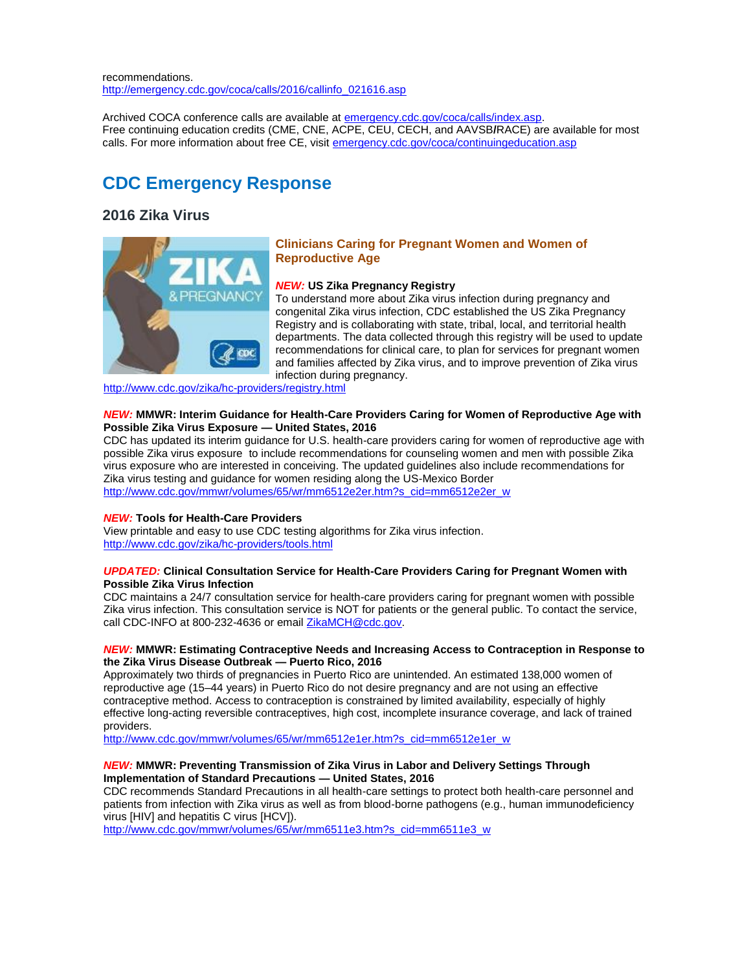recommendations. [http://emergency.cdc.gov/coca/calls/2016/callinfo\\_021616.asp](http://emergency.cdc.gov/coca/calls/2016/callinfo_021616.asp)

Archived COCA conference calls are available a[t emergency.cdc.gov/coca/calls/index.asp.](http://emergency.cdc.gov/coca/calls/index.asp) Free continuing education credits (CME, CNE, ACPE, CEU, CECH, and AAVSB**/**RACE) are available for most calls. For more information about free CE, visit [emergency.cdc.gov/coca/continuingeducation.asp](http://emergency.cdc.gov/coca/continuingeducation.asp)

## <span id="page-1-0"></span>**CDC Emergency Response**

### **2016 Zika Virus**



#### **Clinicians Caring for Pregnant Women and Women of Reproductive Age**

#### *NEW:* **US Zika Pregnancy Registry**

To understand more about Zika virus infection during pregnancy and congenital Zika virus infection, CDC established the US Zika Pregnancy Registry and is collaborating with state, tribal, local, and territorial health departments. The data collected through this registry will be used to update recommendations for clinical care, to plan for services for pregnant women and families affected by Zika virus, and to improve prevention of Zika virus infection during pregnancy.

<http://www.cdc.gov/zika/hc-providers/registry.html>

#### *NEW:* **MMWR: Interim Guidance for Health-Care Providers Caring for Women of Reproductive Age with Possible Zika Virus Exposure — United States, 2016**

CDC has updated its interim guidance for U.S. health-care providers caring for women of reproductive age with possible Zika virus exposure to include recommendations for counseling women and men with possible Zika virus exposure who are interested in conceiving. The updated guidelines also include recommendations for Zika virus testing and guidance for women residing along the US-Mexico Border [http://www.cdc.gov/mmwr/volumes/65/wr/mm6512e2er.htm?s\\_cid=mm6512e2er\\_w](http://www.cdc.gov/mmwr/volumes/65/wr/mm6512e2er.htm?s_cid=mm6512e2er_w)

#### *NEW:* **Tools for Health-Care Providers**

View printable and easy to use CDC testing algorithms for Zika virus infection. <http://www.cdc.gov/zika/hc-providers/tools.html>

#### *UPDATED:* **Clinical Consultation Service for Health-Care Providers Caring for Pregnant Women with Possible Zika Virus Infection**

CDC maintains a 24/7 consultation service for health-care providers caring for pregnant women with possible Zika virus infection. This consultation service is NOT for patients or the general public. To contact the service, call CDC-INFO at 800-232-4636 or email [ZikaMCH@cdc.gov.](mailto:ZikaMCH@cdc.gov)

#### *NEW:* **MMWR: Estimating Contraceptive Needs and Increasing Access to Contraception in Response to the Zika Virus Disease Outbreak — Puerto Rico, 2016**

Approximately two thirds of pregnancies in Puerto Rico are unintended. An estimated 138,000 women of reproductive age (15–44 years) in Puerto Rico do not desire pregnancy and are not using an effective contraceptive method. Access to contraception is constrained by limited availability, especially of highly effective long-acting reversible contraceptives, high cost, incomplete insurance coverage, and lack of trained providers.

[http://www.cdc.gov/mmwr/volumes/65/wr/mm6512e1er.htm?s\\_cid=mm6512e1er\\_w](http://www.cdc.gov/mmwr/volumes/65/wr/mm6512e1er.htm?s_cid=mm6512e1er_w)

#### *NEW:* **MMWR: Preventing Transmission of Zika Virus in Labor and Delivery Settings Through Implementation of Standard Precautions — United States, 2016**

CDC recommends Standard Precautions in all health-care settings to protect both health-care personnel and patients from infection with Zika virus as well as from blood-borne pathogens (e.g., human immunodeficiency virus [HIV] and hepatitis C virus [HCV]).

[http://www.cdc.gov/mmwr/volumes/65/wr/mm6511e3.htm?s\\_cid=mm6511e3\\_w](http://www.cdc.gov/mmwr/volumes/65/wr/mm6511e3.htm?s_cid=mm6511e3_w)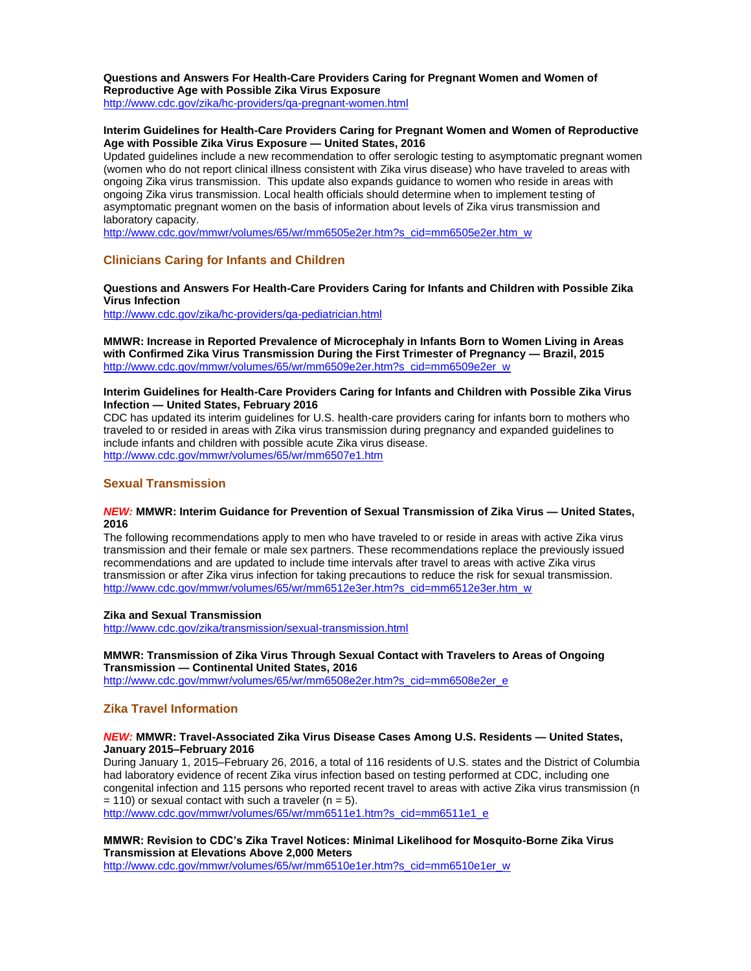#### **Questions and Answers For Health-Care Providers Caring for Pregnant Women and Women of Reproductive Age with Possible Zika Virus Exposure**

<http://www.cdc.gov/zika/hc-providers/qa-pregnant-women.html>

#### **Interim Guidelines for Health-Care Providers Caring for Pregnant Women and Women of Reproductive Age with Possible Zika Virus Exposure — United States, 2016**

Updated guidelines include a new recommendation to offer serologic testing to asymptomatic pregnant women (women who do not report clinical illness consistent with Zika virus disease) who have traveled to areas with ongoing Zika virus transmission. This update also expands guidance to women who reside in areas with ongoing Zika virus transmission. Local health officials should determine when to implement testing of asymptomatic pregnant women on the basis of information about levels of Zika virus transmission and laboratory capacity.

[http://www.cdc.gov/mmwr/volumes/65/wr/mm6505e2er.htm?s\\_cid=mm6505e2er.htm\\_w](http://www.cdc.gov/mmwr/volumes/65/wr/mm6505e2er.htm?s_cid=mm6505e2er.htm_w)

#### **Clinicians Caring for Infants and Children**

**Questions and Answers For Health-Care Providers Caring for Infants and Children with Possible Zika Virus Infection**

<http://www.cdc.gov/zika/hc-providers/qa-pediatrician.html>

**MMWR: Increase in Reported Prevalence of Microcephaly in Infants Born to Women Living in Areas with Confirmed Zika Virus Transmission During the First Trimester of Pregnancy — Brazil, 2015** [http://www.cdc.gov/mmwr/volumes/65/wr/mm6509e2er.htm?s\\_cid=mm6509e2er\\_w](http://www.cdc.gov/mmwr/volumes/65/wr/mm6509e2er.htm?s_cid=mm6509e2er_w)

#### **Interim Guidelines for Health-Care Providers Caring for Infants and Children with Possible Zika Virus Infection — United States, February 2016**

CDC has updated its interim guidelines for U.S. health-care providers caring for infants born to mothers who traveled to or resided in areas with Zika virus transmission during pregnancy and expanded guidelines to include infants and children with possible acute Zika virus disease. <http://www.cdc.gov/mmwr/volumes/65/wr/mm6507e1.htm>

#### **Sexual Transmission**

#### *NEW:* **MMWR: Interim Guidance for Prevention of Sexual Transmission of Zika Virus — United States, 2016**

The following recommendations apply to men who have traveled to or reside in areas with active Zika virus transmission and their female or male sex partners. These recommendations replace the previously issued recommendations and are updated to include time intervals after travel to areas with active Zika virus transmission or after Zika virus infection for taking precautions to reduce the risk for sexual transmission. [http://www.cdc.gov/mmwr/volumes/65/wr/mm6512e3er.htm?s\\_cid=mm6512e3er.htm\\_w](http://www.cdc.gov/mmwr/volumes/65/wr/mm6512e3er.htm?s_cid=mm6512e3er.htm_w)

#### **Zika and Sexual Transmission**

<http://www.cdc.gov/zika/transmission/sexual-transmission.html>

#### **MMWR: Transmission of Zika Virus Through Sexual Contact with Travelers to Areas of Ongoing Transmission — Continental United States, 2016**

[http://www.cdc.gov/mmwr/volumes/65/wr/mm6508e2er.htm?s\\_cid=mm6508e2er\\_e](http://www.cdc.gov/mmwr/volumes/65/wr/mm6508e2er.htm?s_cid=mm6508e2er_e)

#### **Zika Travel Information**

#### *NEW:* **MMWR: Travel-Associated Zika Virus Disease Cases Among U.S. Residents — United States, January 2015–February 2016**

During January 1, 2015–February 26, 2016, a total of 116 residents of U.S. states and the District of Columbia had laboratory evidence of recent Zika virus infection based on testing performed at CDC, including one congenital infection and 115 persons who reported recent travel to areas with active Zika virus transmission (n  $= 110$ ) or sexual contact with such a traveler (n = 5).

[http://www.cdc.gov/mmwr/volumes/65/wr/mm6511e1.htm?s\\_cid=mm6511e1\\_e](http://www.cdc.gov/mmwr/volumes/65/wr/mm6511e1.htm?s_cid=mm6511e1_e)

#### **MMWR: Revision to CDC's Zika Travel Notices: Minimal Likelihood for Mosquito-Borne Zika Virus Transmission at Elevations Above 2,000 Meters**

[http://www.cdc.gov/mmwr/volumes/65/wr/mm6510e1er.htm?s\\_cid=mm6510e1er\\_w](http://www.cdc.gov/mmwr/volumes/65/wr/mm6510e1er.htm?s_cid=mm6510e1er_w)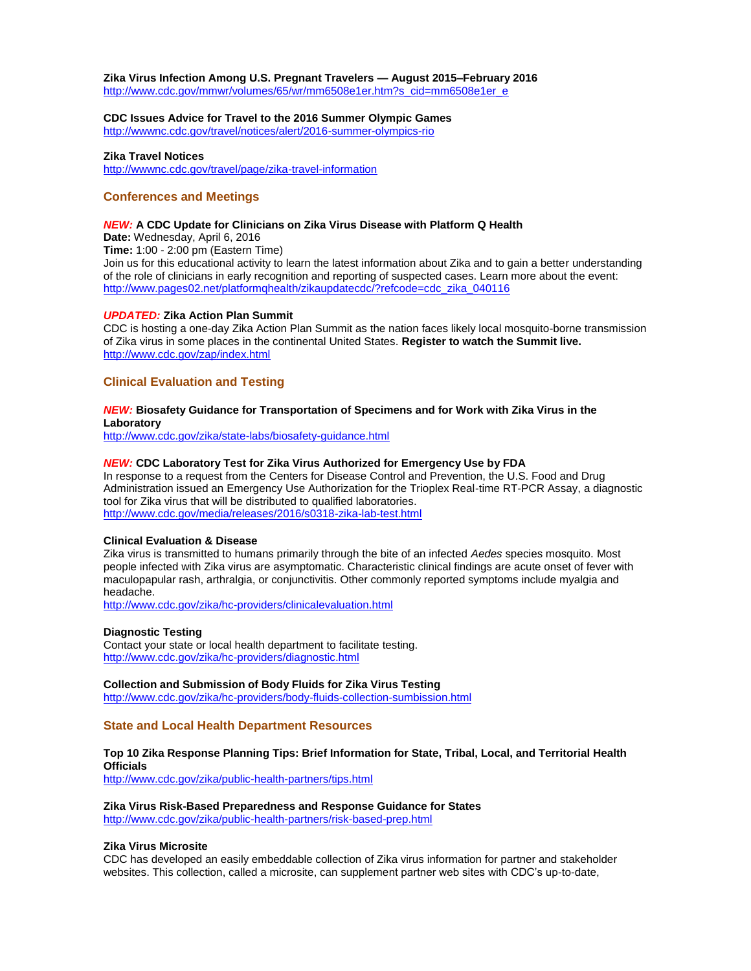#### **Zika Virus Infection Among U.S. Pregnant Travelers — August 2015–February 2016**

[http://www.cdc.gov/mmwr/volumes/65/wr/mm6508e1er.htm?s\\_cid=mm6508e1er\\_e](http://www.cdc.gov/mmwr/volumes/65/wr/mm6508e1er.htm?s_cid=mm6508e1er_e)

**CDC Issues Advice for Travel to the 2016 Summer Olympic Games** <http://wwwnc.cdc.gov/travel/notices/alert/2016-summer-olympics-rio>

#### **Zika Travel Notices**

<http://wwwnc.cdc.gov/travel/page/zika-travel-information>

#### **Conferences and Meetings**

#### *NEW:* **A CDC Update for Clinicians on Zika Virus Disease with Platform Q Health**

**Date:** Wednesday, April 6, 2016

**Time:** 1:00 - 2:00 pm (Eastern Time)

Join us for this educational activity to learn the latest information about Zika and to gain a better understanding of the role of clinicians in early recognition and reporting of suspected cases. Learn more about the event: [http://www.pages02.net/platformqhealth/zikaupdatecdc/?refcode=cdc\\_zika\\_040116](http://www.pages02.net/platformqhealth/zikaupdatecdc/?refcode=cdc_zika_040116)

#### *UPDATED:* **Zika Action Plan Summit**

CDC is hosting a one-day Zika Action Plan Summit as the nation faces likely local mosquito-borne transmission of Zika virus in some places in the continental United States. **Register to watch the Summit live.**  <http://www.cdc.gov/zap/index.html>

#### **Clinical Evaluation and Testing**

#### *NEW:* **Biosafety Guidance for Transportation of Specimens and for Work with Zika Virus in the Laboratory**

<http://www.cdc.gov/zika/state-labs/biosafety-guidance.html>

#### *NEW:* **CDC Laboratory Test for Zika Virus Authorized for Emergency Use by FDA**

In response to a request from the Centers for Disease Control and Prevention, the U.S. Food and Drug Administration issued an Emergency Use Authorization for the Trioplex Real-time RT-PCR Assay, a diagnostic tool for Zika virus that will be distributed to qualified laboratories. <http://www.cdc.gov/media/releases/2016/s0318-zika-lab-test.html>

#### **Clinical Evaluation & Disease**

Zika virus is transmitted to humans primarily through the bite of an infected *Aedes* species mosquito. Most people infected with Zika virus are asymptomatic. Characteristic clinical findings are acute onset of fever with maculopapular rash, arthralgia, or conjunctivitis. Other commonly reported symptoms include myalgia and headache.

<http://www.cdc.gov/zika/hc-providers/clinicalevaluation.html>

#### **Diagnostic Testing**

Contact your state or local health department to facilitate testing. <http://www.cdc.gov/zika/hc-providers/diagnostic.html>

#### **Collection and Submission of Body Fluids for Zika Virus Testing**

<http://www.cdc.gov/zika/hc-providers/body-fluids-collection-sumbission.html>

#### **State and Local Health Department Resources**

#### **Top 10 Zika Response Planning Tips: Brief Information for State, Tribal, Local, and Territorial Health Officials**

<http://www.cdc.gov/zika/public-health-partners/tips.html>

#### **Zika Virus Risk-Based Preparedness and Response Guidance for States**  <http://www.cdc.gov/zika/public-health-partners/risk-based-prep.html>

#### **Zika Virus Microsite**

CDC has developed an easily embeddable collection of Zika virus information for partner and stakeholder websites. This collection, called a microsite, can supplement partner web sites with CDC's up-to-date,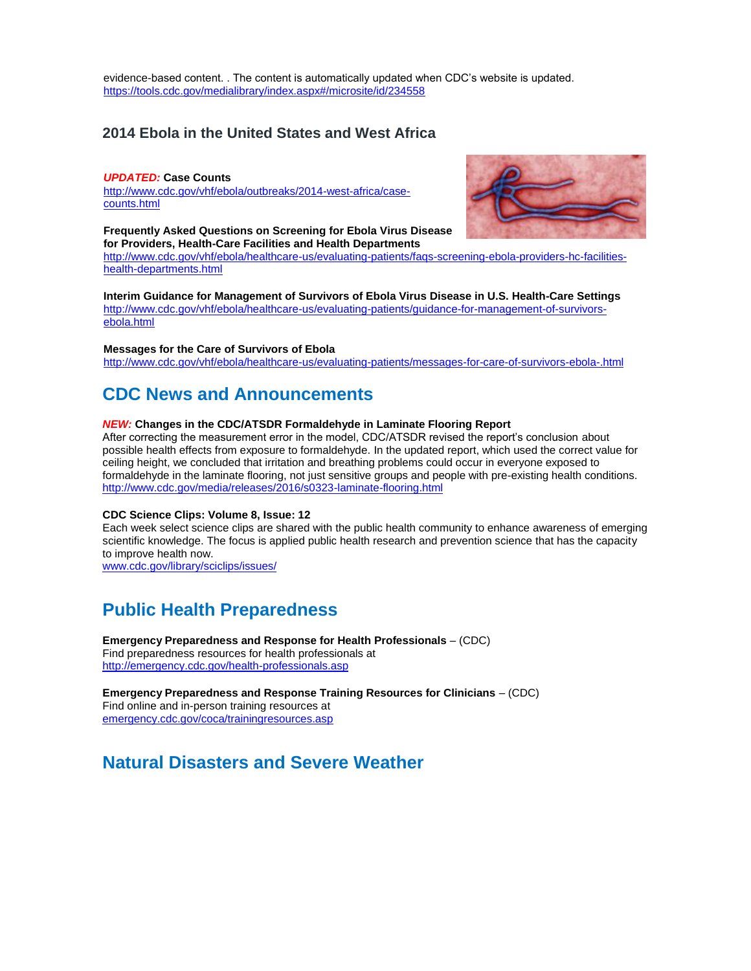evidence-based content. . The content is automatically updated when CDC's website is updated. <https://tools.cdc.gov/medialibrary/index.aspx#/microsite/id/234558>

### **2014 Ebola in the United States and West Africa**

#### *UPDATED:* **Case Counts**

[http://www.cdc.gov/vhf/ebola/outbreaks/2014-west-africa/case](http://www.cdc.gov/vhf/ebola/outbreaks/2014-west-africa/case-counts.html)[counts.html](http://www.cdc.gov/vhf/ebola/outbreaks/2014-west-africa/case-counts.html)

**Frequently Asked Questions on Screening for Ebola Virus Disease for Providers, Health-Care Facilities and Health Departments**



**Interim Guidance for Management of Survivors of Ebola Virus Disease in U.S. Health-Care Settings** [http://www.cdc.gov/vhf/ebola/healthcare-us/evaluating-patients/guidance-for-management-of-survivors-](http://www.cdc.gov/vhf/ebola/healthcare-us/evaluating-patients/guidance-for-management-of-survivors-ebola.html)

[ebola.html](http://www.cdc.gov/vhf/ebola/healthcare-us/evaluating-patients/guidance-for-management-of-survivors-ebola.html)

#### **Messages for the Care of Survivors of Ebola**

<http://www.cdc.gov/vhf/ebola/healthcare-us/evaluating-patients/messages-for-care-of-survivors-ebola-.html>

## <span id="page-4-0"></span>**CDC News and Announcements**

#### *NEW:* **Changes in the CDC/ATSDR Formaldehyde in Laminate Flooring Report**

After correcting the measurement error in the model, CDC/ATSDR revised the report's conclusion about possible health effects from exposure to formaldehyde. In the updated report, which used the correct value for ceiling height, we concluded that irritation and breathing problems could occur in everyone exposed to formaldehyde in the laminate flooring, not just sensitive groups and people with pre-existing health conditions. <http://www.cdc.gov/media/releases/2016/s0323-laminate-flooring.html>

#### **CDC Science Clips: Volume 8, Issue: 12**

Each week select science clips are shared with the public health community to enhance awareness of emerging scientific knowledge. The focus is applied public health research and prevention science that has the capacity to improve health now.

[www.cdc.gov/library/sciclips/issues/](http://www.cdc.gov/library/sciclips/issues/)

### <span id="page-4-1"></span>**Public Health Preparedness**

**Emergency Preparedness and Response for Health Professionals** – (CDC) Find preparedness resources for health professionals at <http://emergency.cdc.gov/health-professionals.asp>

**Emergency Preparedness and Response Training Resources for Clinicians** – (CDC) Find online and in-person training resources at [emergency.cdc.gov/coca/trainingresources.asp](http://emergency.cdc.gov/coca/trainingresources.asp?s_cid=ccu090913_006)

### <span id="page-4-2"></span>**Natural Disasters and Severe Weather**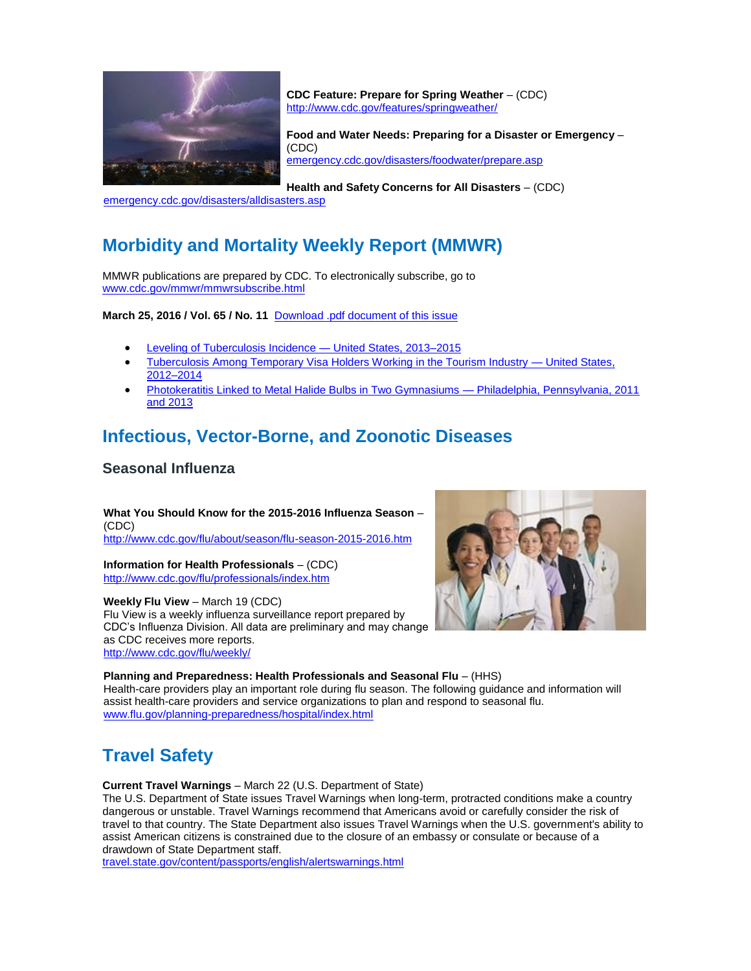

**CDC Feature: Prepare for Spring Weather** – (CDC) <http://www.cdc.gov/features/springweather/>

**Food and Water Needs: Preparing for a Disaster or Emergency** – (CDC) [emergency.cdc.gov/disasters/foodwater/prepare.asp](http://emergency.cdc.gov/disasters/foodwater/prepare.asp?s_cid=ccu090913_007)

**Health and Safety Concerns for All Disasters** – (CDC)

[emergency.cdc.gov/disasters/alldisasters.asp](http://emergency.cdc.gov/disasters/alldisasters.asp?s_cid=ccu090913_008)

## <span id="page-5-0"></span>**Morbidity and Mortality Weekly Report (MMWR)**

MMWR publications are prepared by CDC. To electronically subscribe, go to [www.cdc.gov/mmwr/mmwrsubscribe.html](http://www.cdc.gov/mmwr/mmwrsubscribe.html)

**March 25, 2016 / Vol. 65 / No. 11** [Download .pdf document of this issue](http://www.cdc.gov/mmwr/volumes/65/wr/pdfs/mm6511.pdf)

- [Leveling of Tuberculosis Incidence —](http://www.cdc.gov/mmwr/volumes/65/wr/mm6511a2.htm?s_cid=mm6511a2_w) United States, 2013-2015
- [Tuberculosis Among Temporary Visa Holders Working in the Tourism Industry —](http://www.cdc.gov/mmwr/volumes/65/wr/mm6511a3.htm?s_cid=mm6511a3_w) United States, [2012–2014](http://www.cdc.gov/mmwr/volumes/65/wr/mm6511a3.htm?s_cid=mm6511a3_w)
- [Photokeratitis Linked to Metal Halide Bulbs in Two Gymnasiums —](http://www.cdc.gov/mmwr/volumes/65/wr/mm6511a4.htm?s_cid=mm6511a4_w) Philadelphia, Pennsylvania, 2011 [and 2013](http://www.cdc.gov/mmwr/volumes/65/wr/mm6511a4.htm?s_cid=mm6511a4_w)

## <span id="page-5-1"></span>**Infectious, Vector-Borne, and Zoonotic Diseases**

### **Seasonal Influenza**

**What You Should Know for the 2015-2016 Influenza Season** – (CDC) [http://www.cdc.gov/flu/about/season/flu-season-2015-2016.htm](http://www.cdc.gov/flu/about/season/flu-season-2014-2015.htm)

**Information for Health Professionals** – (CDC) <http://www.cdc.gov/flu/professionals/index.htm>

**Weekly Flu View** – March 19 (CDC) Flu View is a weekly influenza surveillance report prepared by CDC's Influenza Division. All data are preliminary and may change as CDC receives more reports. <http://www.cdc.gov/flu/weekly/>



**Planning and Preparedness: Health Professionals and Seasonal Flu** – (HHS)

Health-care providers play an important role during flu season. The following guidance and information will assist health-care providers and service organizations to plan and respond to seasonal flu. [www.flu.gov/planning-preparedness/hospital/index.html](http://www.flu.gov/planning-preparedness/hospital/index.html)

## <span id="page-5-2"></span>**Travel Safety**

**Current Travel Warnings** – March 22 (U.S. Department of State)

The U.S. Department of State issues Travel Warnings when long-term, protracted conditions make a country dangerous or unstable. Travel Warnings recommend that Americans avoid or carefully consider the risk of travel to that country. The State Department also issues Travel Warnings when the U.S. government's ability to assist American citizens is constrained due to the closure of an embassy or consulate or because of a drawdown of State Department staff.

[travel.state.gov/content/passports/english/alertswarnings.html](http://travel.state.gov/content/passports/english/alertswarnings.html)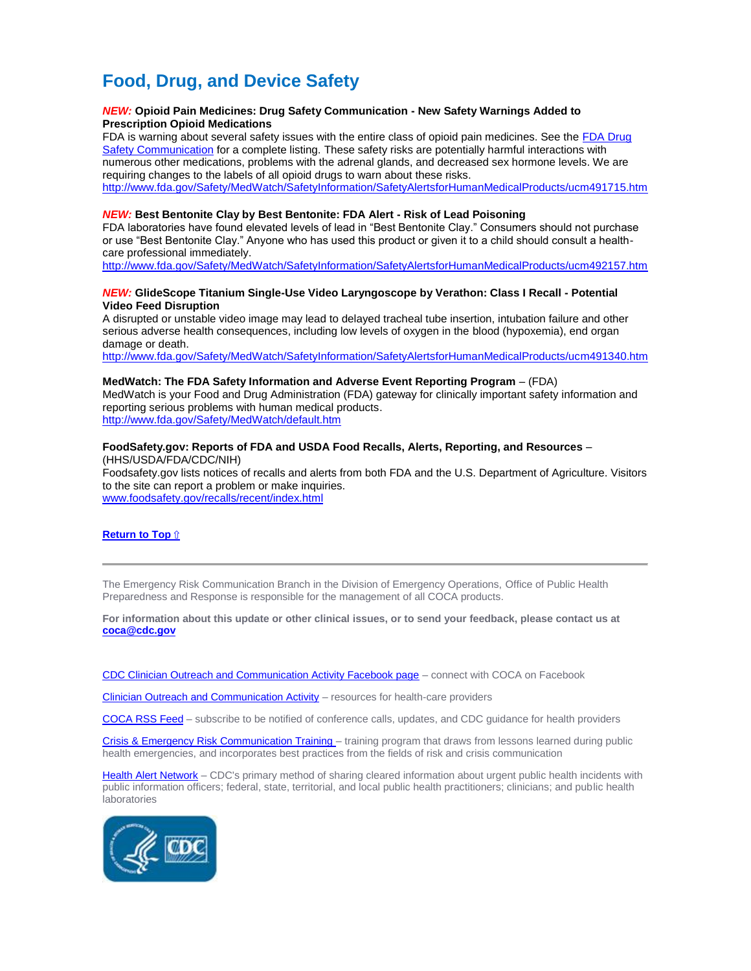## <span id="page-6-0"></span>**Food, Drug, and Device Safety**

#### *NEW:* **Opioid Pain Medicines: Drug Safety Communication - New Safety Warnings Added to Prescription Opioid Medications**

FDA is warning about several safety issues with the entire class of opioid pain medicines. See the [FDA Drug](http://www.fda.gov/Drugs/DrugSafety/ucm489676.htm)  [Safety Communication](http://www.fda.gov/Drugs/DrugSafety/ucm489676.htm) for a complete listing. These safety risks are potentially harmful interactions with numerous other medications, problems with the adrenal glands, and decreased sex hormone levels. We are requiring changes to the labels of all opioid drugs to warn about these risks. <http://www.fda.gov/Safety/MedWatch/SafetyInformation/SafetyAlertsforHumanMedicalProducts/ucm491715.htm>

#### *NEW:* **Best Bentonite Clay by Best Bentonite: FDA Alert - Risk of Lead Poisoning**

FDA laboratories have found elevated levels of lead in "Best Bentonite Clay." Consumers should not purchase or use "Best Bentonite Clay." Anyone who has used this product or given it to a child should consult a healthcare professional immediately.

<http://www.fda.gov/Safety/MedWatch/SafetyInformation/SafetyAlertsforHumanMedicalProducts/ucm492157.htm>

#### *NEW:* **GlideScope Titanium Single-Use Video Laryngoscope by Verathon: Class I Recall - Potential Video Feed Disruption**

A disrupted or unstable video image may lead to delayed tracheal tube insertion, intubation failure and other serious adverse health consequences, including low levels of oxygen in the blood (hypoxemia), end organ damage or death.

<http://www.fda.gov/Safety/MedWatch/SafetyInformation/SafetyAlertsforHumanMedicalProducts/ucm491340.htm>

#### **MedWatch: The FDA Safety Information and Adverse Event Reporting Program** – (FDA)

MedWatch is your Food and Drug Administration (FDA) gateway for clinically important safety information and reporting serious problems with human medical products.

<http://www.fda.gov/Safety/MedWatch/default.htm>

#### **FoodSafety.gov: Reports of FDA and USDA Food Recalls, Alerts, Reporting, and Resources** – (HHS/USDA/FDA/CDC/NIH)

Foodsafety.gov lists notices of recalls and alerts from both FDA and the U.S. Department of Agriculture. Visitors to the site can report a problem or make inquiries.

[www.foodsafety.gov/recalls/recent/index.html](http://www.foodsafety.gov/recalls/recent/index.html)

#### **Return to Top** ⇧

The Emergency Risk Communication Branch in the Division of Emergency Operations, Office of Public Health Preparedness and Response is responsible for the management of all COCA products.

**For information about this update or other clinical issues, or to send your feedback, please contact us at [coca@cdc.gov](mailto:coca@cdc.gov)**

[CDC Clinician Outreach and Communication Activity Facebook page](https://www.facebook.com/CDCClinicianOutreachAndCommunicationActivity) – connect with COCA on Facebook

[Clinician Outreach and Communication Activity](http://emergency.cdc.gov/coca/) – resources for health-care providers

[COCA RSS Feed](http://emergency.cdc.gov/rss/) – subscribe to be notified of conference calls, updates, and CDC guidance for health providers

[Crisis & Emergency Risk Communication Training –](http://emergency.cdc.gov/cerc/) training program that draws from lessons learned during public health emergencies, and incorporates best practices from the fields of risk and crisis communication

[Health Alert Network](http://emergency.cdc.gov/HAN/) - CDC's primary method of sharing cleared information about urgent public health incidents with public information officers; federal, state, territorial, and local public health practitioners; clinicians; and public health laboratories